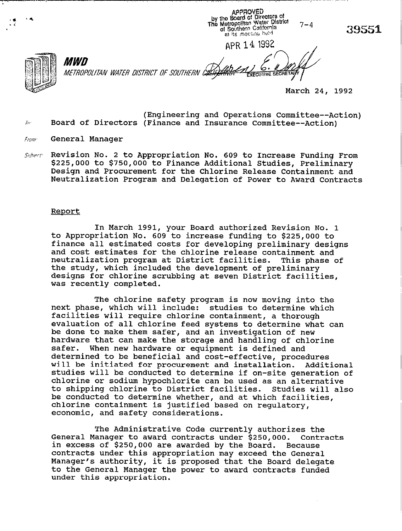APPROVED by the Board of Directors of<br>The Metropolitan Water District<br>The Metropolitan California of Southern California at its mecuric held

APR 14 1992



*MWD* METROPOLITAN WATER DISTRICT OF SOUTHERN CALIFAT **EXECUTIVE SEC** 

March 24, 1992

- (Engineering and Operations Committee--Action) Board of Directors (Finance and Insurance Committee--Action) Iп.
- General Manager From
- Revision No. 2 to Appropriation No. 609 to Increase Funding From Subject \$225,000 to \$750,000 to Finance Additional Studies, Preliminary Design and Procurement for the Chlorine Release Containment and Neutralization Program and Delegation of Power to Award Contracts

## Report

In March 1991, your Board authorized Revision No. 1 to Appropriation No. 609 to increase funding to \$225,000 to finance all estimated costs for developing preliminary designs and cost estimates for the chlorine release containment and<br>neutralization program at District facilities. This phase of neutralization program at District facilities. the study, which included the development of preliminary designs for chlorine scrubbing at seven District facilities, was recently completed.

The chlorine safety program is now moving into the next phase, which will include: studies to determine which facilities will require chlorine containment, a thorough evaluation of all chlorine feed systems to determine what can be done to make them safer, and an investigation of new hardware that can make the storage and handling of chlorine safer. When new hardware or equipment is defined and safer. When new hardware or equipment is defined and determined to be beneficial and cost-effective, procedures will be initiated for procurement and installation. Additional studies will be conducted to determine if on-site generation of chlorine or sodium hypochlorite can be used as an alternative to shipping chlorine to District facilities. Studies will also be conducted to determine whether, and at which facilities, chlorine containment is justified based on regulatory, economic, and safety considerations.

The Administrative Code currently authorizes the General Manager to award contracts under \$250,000. Contracts in excess of \$250,000 are awarded by the Board. Because contracts under this appropriation may exceed the General Manager's authority, it is proposed that the Board delegate to the General Manager the power to award contracts funded under this appropriation.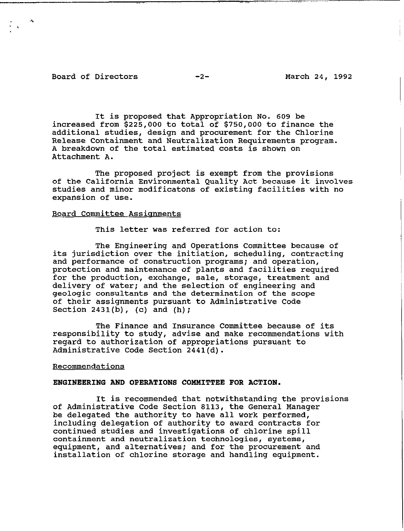# Board of Directors -2- March 24, 1992

It is proposed that Appropriation No. 609 be increased from \$225,000 to total of \$750,000 to finance the additional studies, design and procurement for the Chlorine Release Containment and Neutralization Requirements program. A breakdown of the total estimated costs is shown on Attachment A.

The proposed project is exempt from the provisions of the California Environmental Quality Act because it involves studies and minor modificatons of existing facilities with no expansion of use.

# Board Committee Assignments

This letter was referred for action to:

The Engineering and Operations Committee because of its jurisdiction over the initiation, scheduling, contracting and performance of construction programs; and operation, protection and maintenance of plants and facilities required for the production, exchange, sale, storage, treatment and delivery of water; and the selection of engineering and geologic consultants and the determination of the scope of their assignments pursuant to Administrative Code Section  $2431(b)$ , (c) and (h);

The Finance and Insurance Committee because of its responsibility to study, advise and make recommendations with regard to authorization of appropriations pursuant to Administrative Code Section 2441(d).

### Recommendations

# ENGINEERING AND OPERATIONS COMMITTEE FOR ACTION.

It is recommended that notwithstanding the provisions of Administrative Code Section 8113, the General Manager be delegated the authority to have all work performed, including delegation of authority to award contracts for continued studies and investigations of chlorine spill containment and neutralization technologies, systems, equipment, and alternatives; and for the procurement and installation of chlorine storage and handling equipment.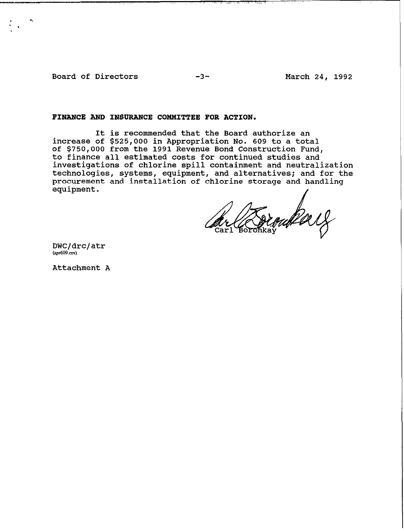Board of Directors -3- March 24, 1992

\* .

.  $\mathcal{L} = \mathcal{L} \times \mathcal{L}$  , where  $\mathcal{L} = \mathcal{L} \times \mathcal{L}$  is the set of  $\mathcal{L} = \mathcal{L} \times \mathcal{L}$  , where  $\mathcal{L} = \mathcal{L} \times \mathcal{L}$ 

# **FINANCE AND** INSURANCE COMMITTEE FOR ACTION.

It is recommended that the Board authorize an increase of \$525,000 in Appropriation No. 609 to a total of \$750,000 from the 1991 Revenue Bond Construction Fund, to finance all estimated costs for continued studies and investigations of chlorine spill containment and neutralization technologies, systems, equipment, and alternatives; and for the procurement and installation of chlorine storage and handling equipment.

outer 18

DWC/drc/atr  $(apr609,rev)$ 

Attachment A